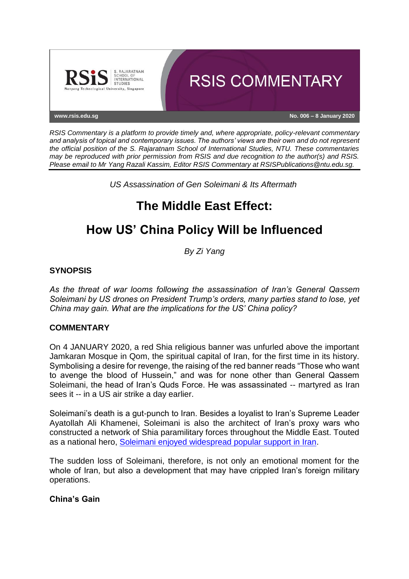

*RSIS Commentary is a platform to provide timely and, where appropriate, policy-relevant commentary and analysis of topical and contemporary issues. The authors' views are their own and do not represent the official position of the S. Rajaratnam School of International Studies, NTU. These commentaries may be reproduced with prior permission from RSIS and due recognition to the author(s) and RSIS. Please email to Mr Yang Razali Kassim, Editor RSIS Commentary at RSISPublications@ntu.edu.sg.*

*US Assassination of Gen Soleimani & Its Aftermath*

# **The Middle East Effect:**

## **How US' China Policy Will be Influenced**

*By Zi Yang*

## **SYNOPSIS**

*As the threat of war looms following the assassination of Iran's General Qassem Soleimani by US drones on President Trump's orders, many parties stand to lose, yet China may gain. What are the implications for the US' China policy?*

### **COMMENTARY**

On 4 JANUARY 2020, a red Shia religious banner was unfurled above the important Jamkaran Mosque in Qom, the spiritual capital of Iran, for the first time in its history. Symbolising a desire for revenge, the raising of the red banner reads "Those who want to avenge the blood of Hussein," and was for none other than General Qassem Soleimani, the head of Iran's Quds Force. He was assassinated -- martyred as Iran sees it -- in a US air strike a day earlier.

Soleimani's death is a gut-punch to Iran. Besides a loyalist to Iran's Supreme Leader Ayatollah Ali Khamenei, Soleimani is also the architect of Iran's proxy wars who constructed a network of Shia paramilitary forces throughout the Middle East. Touted as a national hero, [Soleimani enjoyed widespread popular support in Iran.](https://cissm.umd.edu/research-impact/publications/iranian-public-opinion-under-maximum-pressure)

The sudden loss of Soleimani, therefore, is not only an emotional moment for the whole of Iran, but also a development that may have crippled Iran's foreign military operations.

## **China's Gain**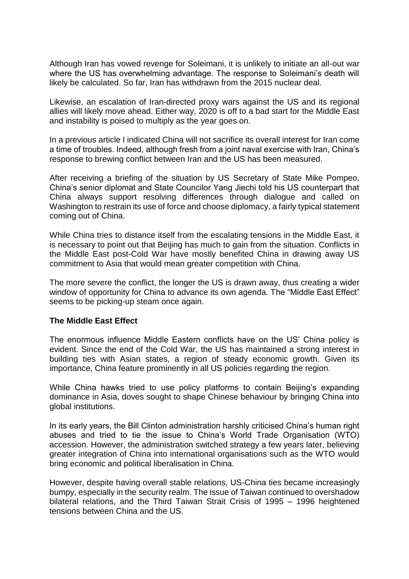Although Iran has vowed revenge for Soleimani, it is unlikely to initiate an all-out war where the US has overwhelming advantage. The response to Soleimani's death will likely be calculated. So far, Iran has withdrawn from the 2015 nuclear deal.

Likewise, an escalation of Iran-directed proxy wars against the US and its regional allies will likely move ahead. Either way, 2020 is off to a bad start for the Middle East and instability is poised to multiply as the year goes on.

In a previous article I indicated China will not sacrifice its overall interest for Iran come a time of troubles. Indeed, although fresh from a joint naval exercise with Iran, China's response to brewing conflict between Iran and the US has been measured.

After receiving a briefing of the situation by US Secretary of State Mike Pompeo, China's senior diplomat and State Councilor Yang Jiechi told his US counterpart that China always support resolving differences through dialogue and called on Washington to restrain its use of force and choose diplomacy, a fairly typical statement coming out of China.

While China tries to distance itself from the escalating tensions in the Middle East, it is necessary to point out that Beijing has much to gain from the situation. Conflicts in the Middle East post-Cold War have mostly benefited China in drawing away US commitment to Asia that would mean greater competition with China.

The more severe the conflict, the longer the US is drawn away, thus creating a wider window of opportunity for China to advance its own agenda. The "Middle East Effect" seems to be picking-up steam once again.

### **The Middle East Effect**

The enormous influence Middle Eastern conflicts have on the US' China policy is evident. Since the end of the Cold War, the US has maintained a strong interest in building ties with Asian states, a region of steady economic growth. Given its importance, China feature prominently in all US policies regarding the region.

While China hawks tried to use policy platforms to contain Beijing's expanding dominance in Asia, doves sought to shape Chinese behaviour by bringing China into global institutions.

In its early years, the Bill Clinton administration harshly criticised China's human right abuses and tried to tie the issue to China's World Trade Organisation (WTO) accession. However, the administration switched strategy a few years later, believing greater integration of China into international organisations such as the WTO would bring economic and political liberalisation in China.

However, despite having overall stable relations, US-China ties became increasingly bumpy, especially in the security realm. The issue of Taiwan continued to overshadow bilateral relations, and the Third Taiwan Strait Crisis of 1995 – 1996 heightened tensions between China and the US.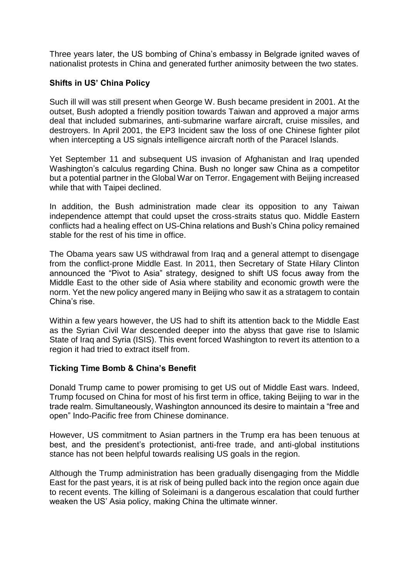Three years later, the US bombing of China's embassy in Belgrade ignited waves of nationalist protests in China and generated further animosity between the two states.

### **Shifts in US' China Policy**

Such ill will was still present when George W. Bush became president in 2001. At the outset, Bush adopted a friendly position towards Taiwan and approved a major arms deal that included submarines, anti-submarine warfare aircraft, cruise missiles, and destroyers. In April 2001, the EP3 Incident saw the loss of one Chinese fighter pilot when intercepting a US signals intelligence aircraft north of the Paracel Islands.

Yet September 11 and subsequent US invasion of Afghanistan and Iraq upended Washington's calculus regarding China. Bush no longer saw China as a competitor but a potential partner in the Global War on Terror. Engagement with Beijing increased while that with Taipei declined.

In addition, the Bush administration made clear its opposition to any Taiwan independence attempt that could upset the cross-straits status quo. Middle Eastern conflicts had a healing effect on US-China relations and Bush's China policy remained stable for the rest of his time in office.

The Obama years saw US withdrawal from Iraq and a general attempt to disengage from the conflict-prone Middle East. In 2011, then Secretary of State Hilary Clinton announced the "Pivot to Asia" strategy, designed to shift US focus away from the Middle East to the other side of Asia where stability and economic growth were the norm. Yet the new policy angered many in Beijing who saw it as a stratagem to contain China's rise.

Within a few years however, the US had to shift its attention back to the Middle East as the Syrian Civil War descended deeper into the abyss that gave rise to Islamic State of Iraq and Syria (ISIS). This event forced Washington to revert its attention to a region it had tried to extract itself from.

### **Ticking Time Bomb & China's Benefit**

Donald Trump came to power promising to get US out of Middle East wars. Indeed, Trump focused on China for most of his first term in office, taking Beijing to war in the trade realm. Simultaneously, Washington announced its desire to maintain a "free and open" Indo-Pacific free from Chinese dominance.

However, US commitment to Asian partners in the Trump era has been tenuous at best, and the president's protectionist, anti-free trade, and anti-global institutions stance has not been helpful towards realising US goals in the region.

Although the Trump administration has been gradually disengaging from the Middle East for the past years, it is at risk of being pulled back into the region once again due to recent events. The killing of Soleimani is a dangerous escalation that could further weaken the US' Asia policy, making China the ultimate winner.